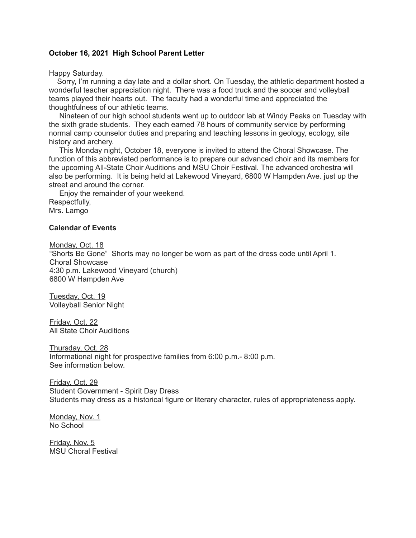## **October 16, 2021 High School Parent Letter**

Happy Saturday.

Sorry, I'm running a day late and a dollar short. On Tuesday, the athletic department hosted a wonderful teacher appreciation night. There was a food truck and the soccer and volleyball teams played their hearts out. The faculty had a wonderful time and appreciated the thoughtfulness of our athletic teams.

Nineteen of our high school students went up to outdoor lab at Windy Peaks on Tuesday with the sixth grade students. They each earned 78 hours of community service by performing normal camp counselor duties and preparing and teaching lessons in geology, ecology, site history and archery.

This Monday night, October 18, everyone is invited to attend the Choral Showcase. The function of this abbreviated performance is to prepare our advanced choir and its members for the upcoming All-State Choir Auditions and MSU Choir Festival. The advanced orchestra will also be performing. It is being held at Lakewood Vineyard, 6800 W Hampden Ave. just up the street and around the corner.

Enjoy the remainder of your weekend. Respectfully, Mrs. Lamgo

## **Calendar of Events**

Monday, Oct. 18 "Shorts Be Gone" Shorts may no longer be worn as part of the dress code until April 1. Choral Showcase 4:30 p.m. Lakewood Vineyard (church) 6800 W Hampden Ave

Tuesday, Oct. 19 Volleyball Senior Night

Friday, Oct. 22 All State Choir Auditions

Thursday, Oct. 28 Informational night for prospective families from 6:00 p.m.- 8:00 p.m. See information below.

Friday, Oct. 29 Student Government - Spirit Day Dress Students may dress as a historical figure or literary character, rules of appropriateness apply.

Monday, Nov. 1 No School

Friday, Nov. 5 MSU Choral Festival